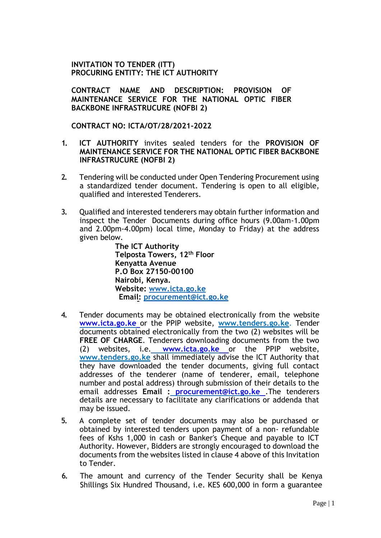## **INVITATION TO TENDER (ITT) PROCURING ENTITY: THE ICT AUTHORITY**

**CONTRACT NAME AND DESCRIPTION: PROVISION OF MAINTENANCE SERVICE FOR THE NATIONAL OPTIC FIBER BACKBONE INFRASTRUCURE (NOFBI 2)**

**CONTRACT NO: ICTA/OT/28/2021-2022** 

- **1. ICT AUTHORITY** invites sealed tenders for the **PROVISION OF MAINTENANCE SERVICE FOR THE NATIONAL OPTIC FIBER BACKBONE INFRASTRUCURE (NOFBI 2)**
- **2.** Tendering will be conducted under Open Tendering Procurement using a standardized tender document. Tendering is open to all eligible, qualified and interested Tenderers.
- **3.** Qualified and interested tenderers may obtain further information and inspect the Tender Documents during office hours (9.00am-1.00pm and 2.00pm-4.00pm) local time, Monday to Friday) at the address given below.

**The ICT Authority Telposta Towers, 12th Floor Kenyatta Avenue P.O Box 27150-00100 Nairobi, Kenya. Website: www.icta.go.ke Email: procurement@ict.go.ke**

- **4.** Tender documents may be obtained electronically from the website **www.icta.go.ke** or the PPIP website, **[www.tenders.go.ke](http://www.tenders.go.ke/)**. Tender documents obtained electronically from the two (2) websites will be **FREE OF CHARGE**. Tenderers downloading documents from the two (2) websites, i.e. **www.icta.go.ke** or the PPIP website[,](http://www.tenders.go.ke/) **[www.tenders.go.ke](http://www.tenders.go.ke/)** shall immediately advise the ICT Authority that they have downloaded the tender documents, giving full contact addresses of the tenderer (name of tenderer, email, telephone number and postal address) through submission of their details to the email addresses **Email : [procurement@ict.go.ke](mailto:%20procurement@ict.go.ke)** .The tenderers details are necessary to facilitate any clarifications or addenda that may be issued.
- **5.** A complete set of tender documents may also be purchased or obtained by interested tenders upon payment of a non- refundable fees of Kshs 1,000 in cash or Banker's Cheque and payable to ICT Authority. However, Bidders are strongly encouraged to download the documents from the websites listed in clause 4 above of this Invitation to Tender.
- **6.** The amount and currency of the Tender Security shall be Kenya Shillings Six Hundred Thousand, i.e. KES 600,000 in form a guarantee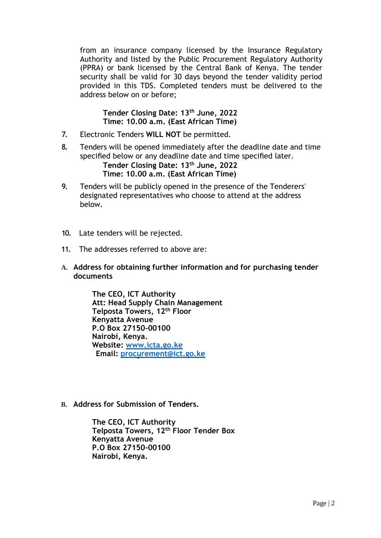from an insurance company licensed by the Insurance Regulatory Authority and listed by the Public Procurement Regulatory Authority (PPRA) or bank licensed by the Central Bank of Kenya. The tender security shall be valid for 30 days beyond the tender validity period provided in this TDS. Completed tenders must be delivered to the address below on or before;

## **Tender Closing Date: 13th June, 2022 Time: 10.00 a.m. (East African Time)**

- **7.** Electronic Tenders **WILL NOT** be permitted.
- **8.** Tenders will be opened immediately after the deadline date and time specified below or any deadline date and time specified later. **Tender Closing Date: 13th June, 2022 Time: 10.00 a.m. (East African Time)**
- **9.** Tenders will be publicly opened in the presence of the Tenderers' designated representatives who choose to attend at the address below.
- **10.** Late tenders will be rejected.
- **11.** The addresses referred to above are:
- **A. Address for obtaining further information and for purchasing tender documents**

**The CEO, ICT Authority Att: Head Supply Chain Management Telposta Towers, 12th Floor Kenyatta Avenue P.O Box 27150-00100 Nairobi, Kenya. Website: www.icta.go.ke Email: procurement@ict.go.ke**

**B. Address for Submission of Tenders.**

**The CEO, ICT Authority Telposta Towers, 12th Floor Tender Box Kenyatta Avenue P.O Box 27150-00100 Nairobi, Kenya.**